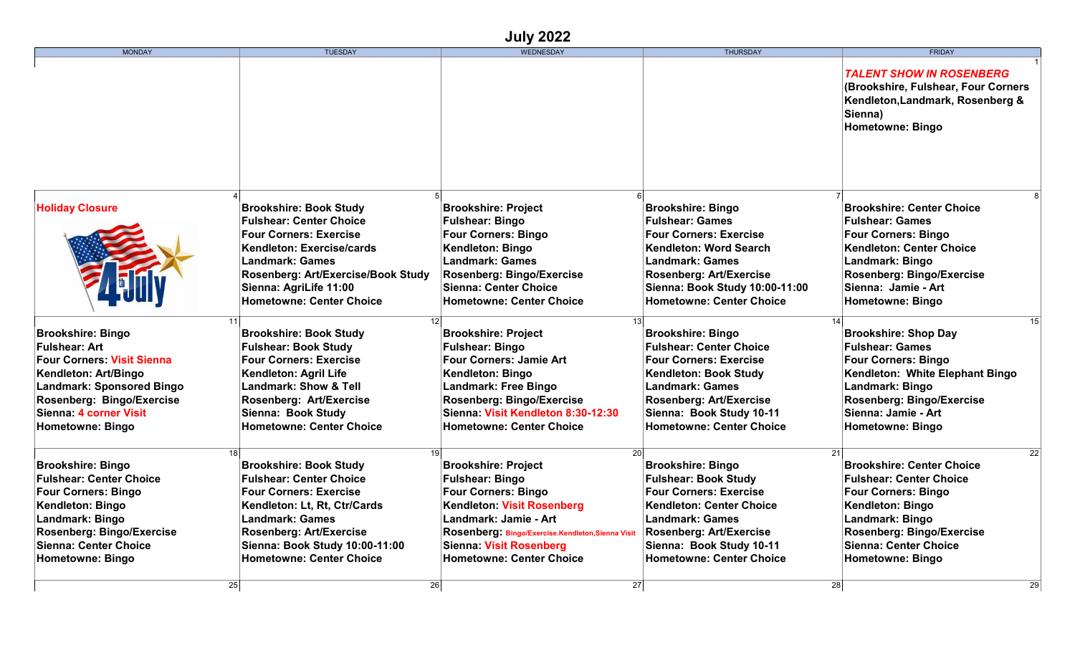## **July 2022**

| <b>MONDAY</b>                                             | <b>TUESDAY</b>                                                   | WEDNESDAY                                                                          | <b>THURSDAY</b>                                            | <b>FRIDAY</b>                                                                                                                                    |
|-----------------------------------------------------------|------------------------------------------------------------------|------------------------------------------------------------------------------------|------------------------------------------------------------|--------------------------------------------------------------------------------------------------------------------------------------------------|
|                                                           |                                                                  |                                                                                    |                                                            | <b>TALENT SHOW IN ROSENBERG</b><br>(Brookshire, Fulshear, Four Corners<br>Kendleton, Landmark, Rosenberg &<br>Sienna)<br><b>Hometowne: Bingo</b> |
|                                                           |                                                                  |                                                                                    |                                                            |                                                                                                                                                  |
| <b>Holiday Closure</b>                                    | <b>Brookshire: Book Study</b>                                    | <b>Brookshire: Project</b>                                                         | <b>Brookshire: Bingo</b>                                   | <b>Brookshire: Center Choice</b>                                                                                                                 |
|                                                           | <b>Fulshear: Center Choice</b>                                   | <b>Fulshear: Bingo</b>                                                             | <b>Fulshear: Games</b>                                     | <b>Fulshear: Games</b>                                                                                                                           |
|                                                           | <b>Four Corners: Exercise</b><br>Kendleton: Exercise/cards       | <b>Four Corners: Bingo</b><br>Kendleton: Bingo                                     | <b>Four Corners: Exercise</b><br>Kendleton: Word Search    | <b>Four Corners: Bingo</b><br><b>Kendleton: Center Choice</b>                                                                                    |
|                                                           | <b>Landmark: Games</b>                                           | <b>Landmark: Games</b>                                                             | <b>Landmark: Games</b>                                     | Landmark: Bingo                                                                                                                                  |
|                                                           | Rosenberg: Art/Exercise/Book Study                               | Rosenberg: Bingo/Exercise                                                          | <b>Rosenberg: Art/Exercise</b>                             | <b>Rosenberg: Bingo/Exercise</b>                                                                                                                 |
|                                                           | Sienna: AgriLife 11:00                                           | <b>Sienna: Center Choice</b>                                                       | Sienna: Book Study 10:00-11:00                             | Sienna: Jamie - Art                                                                                                                              |
|                                                           | <b>Hometowne: Center Choice</b>                                  | <b>Hometowne: Center Choice</b>                                                    | <b>Hometowne: Center Choice</b>                            | <b>Hometowne: Bingo</b>                                                                                                                          |
| <b>Brookshire: Bingo</b>                                  | 11<br><b>Brookshire: Book Study</b>                              | 13<br><b>Brookshire: Project</b>                                                   | <b>Brookshire: Bingo</b>                                   | 15<br><b>Brookshire: Shop Day</b>                                                                                                                |
| <b>Fulshear: Art</b>                                      | <b>Fulshear: Book Study</b>                                      | <b>Fulshear: Bingo</b>                                                             | <b>Fulshear: Center Choice</b>                             | <b>Fulshear: Games</b>                                                                                                                           |
| <b>Four Corners: Visit Sienna</b>                         | <b>Four Corners: Exercise</b>                                    | <b>Four Corners: Jamie Art</b>                                                     | <b>Four Corners: Exercise</b>                              | <b>Four Corners: Bingo</b>                                                                                                                       |
| Kendleton: Art/Bingo                                      | Kendleton: Agril Life                                            | Kendleton: Bingo                                                                   | Kendleton: Book Study                                      | Kendleton: White Elephant Bingo                                                                                                                  |
| <b>Landmark: Sponsored Bingo</b>                          | <b>Landmark: Show &amp; Tell</b>                                 | <b>Landmark: Free Bingo</b>                                                        | <b>Landmark: Games</b>                                     | Landmark: Bingo                                                                                                                                  |
| Rosenberg: Bingo/Exercise                                 | Rosenberg: Art/Exercise                                          | <b>Rosenberg: Bingo/Exercise</b>                                                   | <b>Rosenberg: Art/Exercise</b>                             | <b>Rosenberg: Bingo/Exercise</b>                                                                                                                 |
| Sienna: 4 corner Visit                                    | Sienna: Book Study                                               | Sienna: Visit Kendleton 8:30-12:30                                                 | Sienna: Book Study 10-11                                   | Sienna: Jamie - Art                                                                                                                              |
| <b>Hometowne: Bingo</b>                                   | <b>Hometowne: Center Choice</b>                                  | <b>Hometowne: Center Choice</b>                                                    | <b>Hometowne: Center Choice</b>                            | Hometowne: Bingo                                                                                                                                 |
|                                                           | 18 <sup>1</sup><br>19                                            | 20                                                                                 | 21                                                         | 22                                                                                                                                               |
| <b>Brookshire: Bingo</b>                                  | <b>Brookshire: Book Study</b>                                    | <b>Brookshire: Project</b>                                                         | <b>Brookshire: Bingo</b>                                   | <b>Brookshire: Center Choice</b>                                                                                                                 |
| <b>Fulshear: Center Choice</b>                            | <b>Fulshear: Center Choice</b>                                   | <b>Fulshear: Bingo</b>                                                             | <b>Fulshear: Book Study</b>                                | <b>Fulshear: Center Choice</b>                                                                                                                   |
| <b>Four Corners: Bingo</b>                                | <b>Four Corners: Exercise</b>                                    | <b>Four Corners: Bingo</b>                                                         | <b>Four Corners: Exercise</b>                              | <b>Four Corners: Bingo</b>                                                                                                                       |
| Kendleton: Bingo                                          | Kendleton: Lt, Rt, Ctr/Cards                                     | <b>Kendleton: Visit Rosenberg</b>                                                  | <b>Kendleton: Center Choice</b>                            | Kendleton: Bingo                                                                                                                                 |
| Landmark: Bingo                                           | Landmark: Games                                                  | Landmark: Jamie - Art                                                              | <b>Landmark: Games</b>                                     | Landmark: Bingo                                                                                                                                  |
| <b>Rosenberg: Bingo/Exercise</b><br>Sienna: Center Choice | <b>Rosenberg: Art/Exercise</b><br>Sienna: Book Study 10:00-11:00 | Rosenberg: Bingo/Exercise.Kendleton,Sienna Visit<br><b>Sienna: Visit Rosenberg</b> | <b>Rosenberg: Art/Exercise</b><br>Sienna: Book Study 10-11 | <b>Rosenberg: Bingo/Exercise</b><br><b>Sienna: Center Choice</b>                                                                                 |
| <b>Hometowne: Bingo</b>                                   | <b>Hometowne: Center Choice</b>                                  | <b>Hometowne: Center Choice</b>                                                    | <b>Hometowne: Center Choice</b>                            | Hometowne: Bingo                                                                                                                                 |
|                                                           |                                                                  |                                                                                    |                                                            |                                                                                                                                                  |
|                                                           | 25<br>26                                                         | 27                                                                                 | 28                                                         | 29                                                                                                                                               |